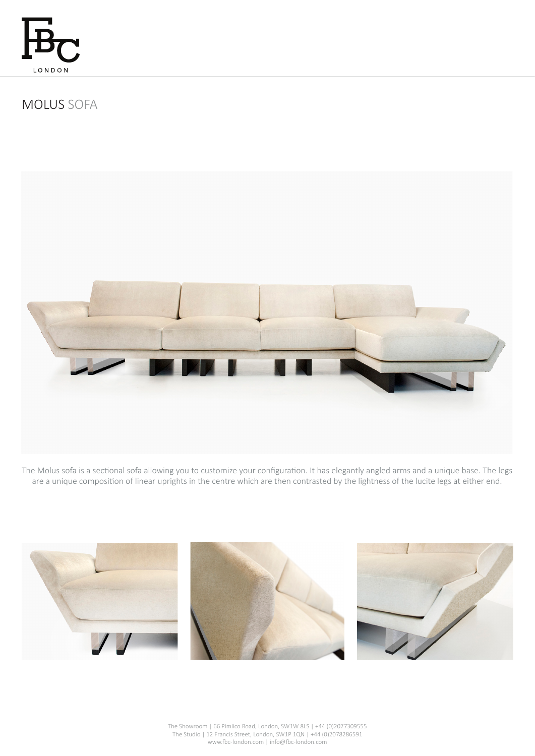

# MOLUS SOFA



The Molus sofa is a sectional sofa allowing you to customize your configuration. It has elegantly angled arms and a unique base. The legs are a unique composition of linear uprights in the centre which are then contrasted by the lightness of the lucite legs at either end.